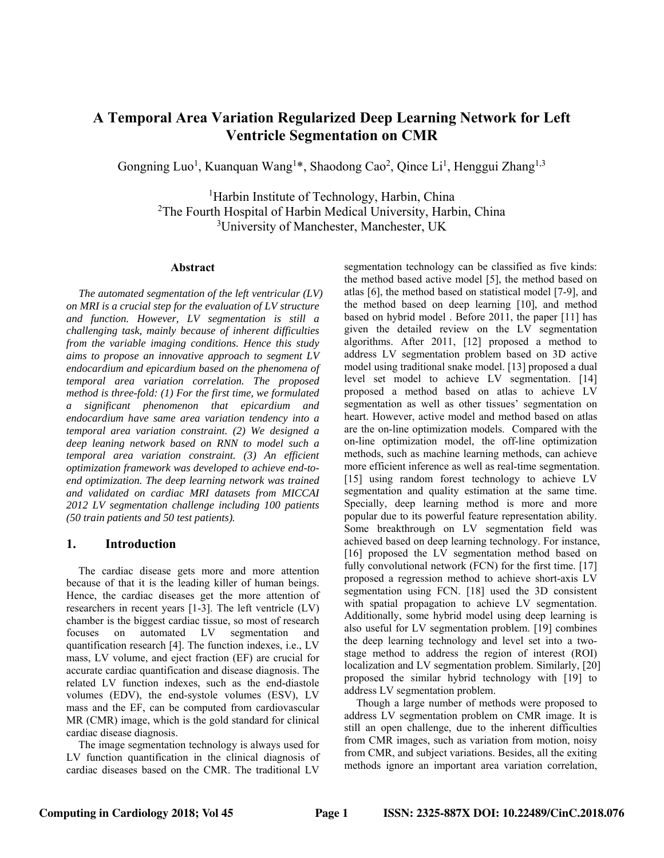# **A Temporal Area Variation Regularized Deep Learning Network for Left Ventricle Segmentation on CMR**

Gongning Luo<sup>1</sup>, Kuanquan Wang<sup>1\*</sup>, Shaodong Cao<sup>2</sup>, Qince Li<sup>1</sup>, Henggui Zhang<sup>1,3</sup>

<sup>1</sup>Harbin Institute of Technology, Harbin, China <sup>2</sup>The Fourth Hospital of Harbin Medical University, Harbin, China 3 University of Manchester, Manchester, UK

#### **Abstract**

*The automated segmentation of the left ventricular (LV) on MRI is a crucial step for the evaluation of LV structure and function. However, LV segmentation is still a challenging task, mainly because of inherent difficulties from the variable imaging conditions. Hence this study aims to propose an innovative approach to segment LV endocardium and epicardium based on the phenomena of temporal area variation correlation. The proposed method is three-fold: (1) For the first time, we formulated a significant phenomenon that epicardium and endocardium have same area variation tendency into a temporal area variation constraint. (2) We designed a deep leaning network based on RNN to model such a temporal area variation constraint. (3) An efficient optimization framework was developed to achieve end-toend optimization. The deep learning network was trained and validated on cardiac MRI datasets from MICCAI 2012 LV segmentation challenge including 100 patients (50 train patients and 50 test patients).* 

## **1. Introduction**

The cardiac disease gets more and more attention because of that it is the leading killer of human beings. Hence, the cardiac diseases get the more attention of researchers in recent years [1-3]. The left ventricle (LV) chamber is the biggest cardiac tissue, so most of research focuses on automated LV segmentation and quantification research [4]. The function indexes, i.e., LV mass, LV volume, and eject fraction (EF) are crucial for accurate cardiac quantification and disease diagnosis. The related LV function indexes, such as the end-diastole volumes (EDV), the end-systole volumes (ESV), LV mass and the EF, can be computed from cardiovascular MR (CMR) image, which is the gold standard for clinical cardiac disease diagnosis.

The image segmentation technology is always used for LV function quantification in the clinical diagnosis of cardiac diseases based on the CMR. The traditional LV

segmentation technology can be classified as five kinds: the method based active model [5], the method based on atlas [6], the method based on statistical model [7-9], and the method based on deep learning [10], and method based on hybrid model . Before 2011, the paper [11] has given the detailed review on the LV segmentation algorithms. After 2011, [12] proposed a method to address LV segmentation problem based on 3D active model using traditional snake model. [13] proposed a dual level set model to achieve LV segmentation. [14] proposed a method based on atlas to achieve LV segmentation as well as other tissues' segmentation on heart. However, active model and method based on atlas are the on-line optimization models. Compared with the on-line optimization model, the off-line optimization methods, such as machine learning methods, can achieve more efficient inference as well as real-time segmentation. [15] using random forest technology to achieve LV segmentation and quality estimation at the same time. Specially, deep learning method is more and more popular due to its powerful feature representation ability. Some breakthrough on LV segmentation field was achieved based on deep learning technology. For instance, [16] proposed the LV segmentation method based on fully convolutional network (FCN) for the first time. [17] proposed a regression method to achieve short-axis LV segmentation using FCN. [18] used the 3D consistent with spatial propagation to achieve LV segmentation. Additionally, some hybrid model using deep learning is also useful for LV segmentation problem. [19] combines the deep learning technology and level set into a twostage method to address the region of interest (ROI) localization and LV segmentation problem. Similarly, [20] proposed the similar hybrid technology with [19] to address LV segmentation problem.

Though a large number of methods were proposed to address LV segmentation problem on CMR image. It is still an open challenge, due to the inherent difficulties from CMR images, such as variation from motion, noisy from CMR, and subject variations. Besides, all the exiting methods ignore an important area variation correlation,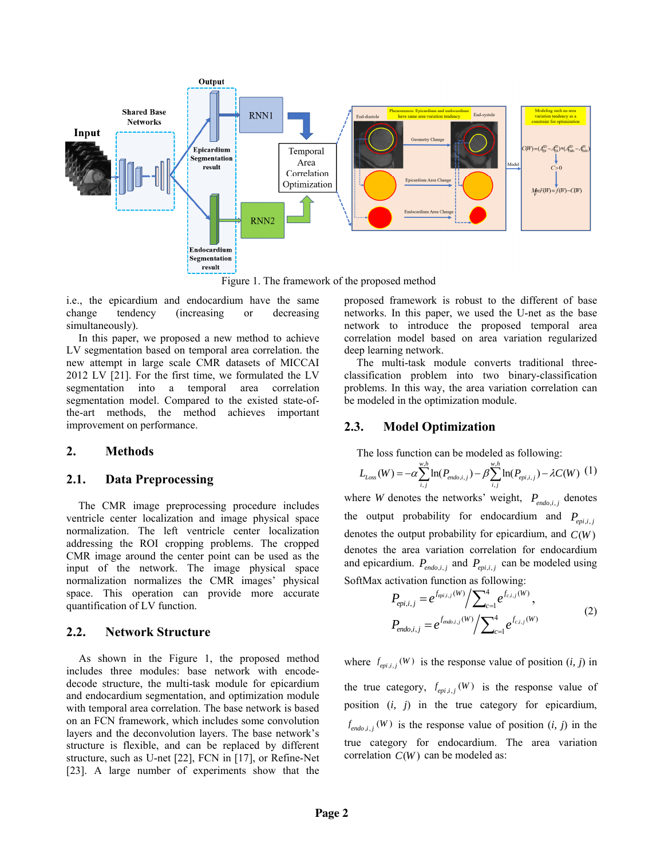

Figure 1. The framework of the proposed method

i.e., the epicardium and endocardium have the same change tendency (increasing or decreasing simultaneously).

In this paper, we proposed a new method to achieve LV segmentation based on temporal area correlation. the new attempt in large scale CMR datasets of MICCAI 2012 LV [21]. For the first time, we formulated the LV segmentation into a temporal area correlation segmentation model. Compared to the existed state-ofthe-art methods, the method achieves important improvement on performance.

## **2. Methods**

# **2.1. Data Preprocessing**

The CMR image preprocessing procedure includes ventricle center localization and image physical space normalization. The left ventricle center localization addressing the ROI cropping problems. The cropped CMR image around the center point can be used as the input of the network. The image physical space normalization normalizes the CMR images' physical space. This operation can provide more accurate quantification of LV function.

#### **2.2. Network Structure**

As shown in the Figure 1, the proposed method includes three modules: base network with encodedecode structure, the multi-task module for epicardium and endocardium segmentation, and optimization module with temporal area correlation. The base network is based on an FCN framework, which includes some convolution layers and the deconvolution layers. The base network's structure is flexible, and can be replaced by different structure, such as U-net [22], FCN in [17], or Refine-Net [23]. A large number of experiments show that the

proposed framework is robust to the different of base networks. In this paper, we used the U-net as the base network to introduce the proposed temporal area correlation model based on area variation regularized deep learning network.

The multi-task module converts traditional threeclassification problem into two binary-classification problems. In this way, the area variation correlation can be modeled in the optimization module.

# **2.3. Model Optimization**

The loss function can be modeled as following:

$$
L_{Loss}(W) = -\alpha \sum_{i,j}^{w.h} \ln(P_{endo,i,j}) - \beta \sum_{i,j}^{w.h} \ln(P_{epi,i,j}) - \lambda C(W) \tag{1}
$$

where *W* denotes the networks' weight,  $P_{endo,i,j}$  denotes the output probability for endocardium and  $P_{en,i,j}$ denotes the output probability for epicardium, and  $C(W)$ denotes the area variation correlation for endocardium and epicardium.  $P_{\text{endo},i,j}$  and  $P_{\text{epi},i,j}$  can be modeled using SoftMax activation function as following:

$$
P_{epi,i,j} = e^{f_{epi,i,j}(W)} / \sum_{c=1}^{4} e^{f_{c,i,j}(W)},
$$
  
\n
$$
P_{endo,i,j} = e^{f_{endo,i,j}(W)} / \sum_{c=1}^{4} e^{f_{c,i,j}(W)}
$$
 (2)

where  $f_{epi,i,j}(W)$  is the response value of position  $(i, j)$  in the true category,  $f_{epi,i,j}(W)$  is the response value of position (*i, j*) in the true category for epicardium,  $f_{\text{endo}, i, j}(W)$  is the response value of position  $(i, j)$  in the true category for endocardium. The area variation correlation  $C(W)$  can be modeled as: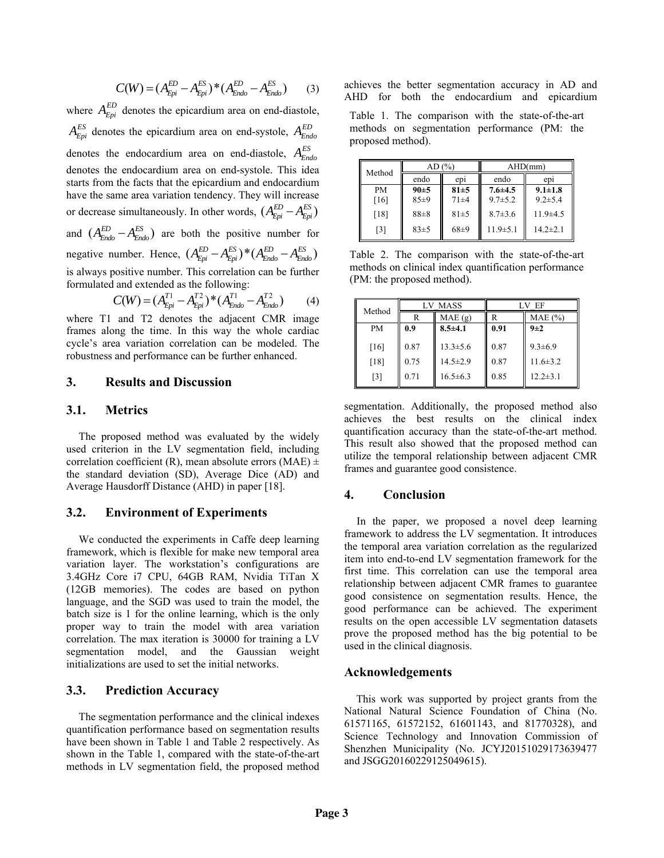$$
C(W) = (A_{Epi}^{ED} - A_{Epi}^{ES})^* (A_{Endo}^{ED} - A_{Endo}^{ES})
$$
 (3)

where  $A_{Epi}^{ED}$  denotes the epicardium area on end-diastole,  $A_{Epi}^{ES}$  denotes the epicardium area on end-systole,  $A_{Endo}^{ED}$ denotes the endocardium area on end-diastole, *ES AEndo* denotes the endocardium area on end-systole. This idea starts from the facts that the epicardium and endocardium have the same area variation tendency. They will increase or decrease simultaneously. In other words,  $(A_{Epi}^{ED} - A_{Epi}^{ES})$ and  $(A_{Endo}^{ED} - A_{Endo}^{ES})$  are both the positive number for negative number. Hence,  $(A_{Epi}^{ED} - A_{Epi}^{ES})^* (A_{Endo}^{ED} - A_{Endo}^{ES})$ is always positive number. This correlation can be further formulated and extended as the following:

$$
C(W) = (A_{Epi}^{T1} - A_{Epi}^{T2})^* (A_{Endo}^{T1} - A_{Endo}^{T2})
$$
 (4)

where T1 and T2 denotes the adjacent CMR image frames along the time. In this way the whole cardiac cycle's area variation correlation can be modeled. The robustness and performance can be further enhanced.

#### **3. Results and Discussion**

## **3.1. Metrics**

The proposed method was evaluated by the widely used criterion in the LV segmentation field, including correlation coefficient (R), mean absolute errors (MAE)  $\pm$ the standard deviation (SD), Average Dice (AD) and Average Hausdorff Distance (AHD) in paper [18].

# **3.2. Environment of Experiments**

We conducted the experiments in Caffe deep learning framework, which is flexible for make new temporal area variation layer. The workstation's configurations are 3.4GHz Core i7 CPU, 64GB RAM, Nvidia TiTan X (12GB memories). The codes are based on python language, and the SGD was used to train the model, the batch size is 1 for the online learning, which is the only proper way to train the model with area variation correlation. The max iteration is 30000 for training a LV segmentation model, and the Gaussian weight initializations are used to set the initial networks.

# **3.3. Prediction Accuracy**

The segmentation performance and the clinical indexes quantification performance based on segmentation results have been shown in Table 1 and Table 2 respectively. As shown in the Table 1, compared with the state-of-the-art methods in LV segmentation field, the proposed method achieves the better segmentation accuracy in AD and AHD for both the endocardium and epicardium

Table 1. The comparison with the state-of-the-art methods on segmentation performance (PM: the proposed method).

| Method    | AD(%)    |                 | AHD(mm)        |                 |
|-----------|----------|-----------------|----------------|-----------------|
|           | endo     | ep <sub>1</sub> | endo           | ep <sub>1</sub> |
| <b>PM</b> | 90±5     | 81±5            | $7.6 \pm 4.5$  | $9.1 \pm 1.8$   |
| [16]      | $85+9$   | $71 + 4$        | $9.7 \pm 5.2$  | $9.2 \pm 5.4$   |
| [18]      | $88 + 8$ | $81 + 5$        | $8.7 \pm 3.6$  | $11.9 \pm 4.5$  |
| [3]       | $83+5$   | $68+9$          | $11.9 \pm 5.1$ | $14.2 + 2.1$    |

Table 2. The comparison with the state-of-the-art methods on clinical index quantification performance (PM: the proposed method).

| Method            | <b>MASS</b><br>LV. |                                  | EF           |                                 |
|-------------------|--------------------|----------------------------------|--------------|---------------------------------|
|                   | R                  | MAE(g)                           |              | $MAE$ $(\% )$                   |
| <b>PM</b>         | 0.9                | $8.5{\pm}4.1$                    | 0.91         | $9\pm2$                         |
| [16]<br>[18]      | 0.87<br>0.75       | $13.3 \pm 5.6$<br>$14.5 \pm 2.9$ | 0.87<br>0.87 | $9.3 \pm 6.9$<br>$11.6 \pm 3.2$ |
| $\lceil 3 \rceil$ | 0.71               | $16.5 \pm 6.3$                   | 0.85         | $12.2 \pm 3.1$                  |

segmentation. Additionally, the proposed method also achieves the best results on the clinical index quantification accuracy than the state-of-the-art method. This result also showed that the proposed method can utilize the temporal relationship between adjacent CMR frames and guarantee good consistence.

## **4. Conclusion**

In the paper, we proposed a novel deep learning framework to address the LV segmentation. It introduces the temporal area variation correlation as the regularized item into end-to-end LV segmentation framework for the first time. This correlation can use the temporal area relationship between adjacent CMR frames to guarantee good consistence on segmentation results. Hence, the good performance can be achieved. The experiment results on the open accessible LV segmentation datasets prove the proposed method has the big potential to be used in the clinical diagnosis.

### **Acknowledgements**

This work was supported by project grants from the National Natural Science Foundation of China (No. 61571165, 61572152, 61601143, and 81770328), and Science Technology and Innovation Commission of Shenzhen Municipality (No. JCYJ20151029173639477 and JSGG20160229125049615).